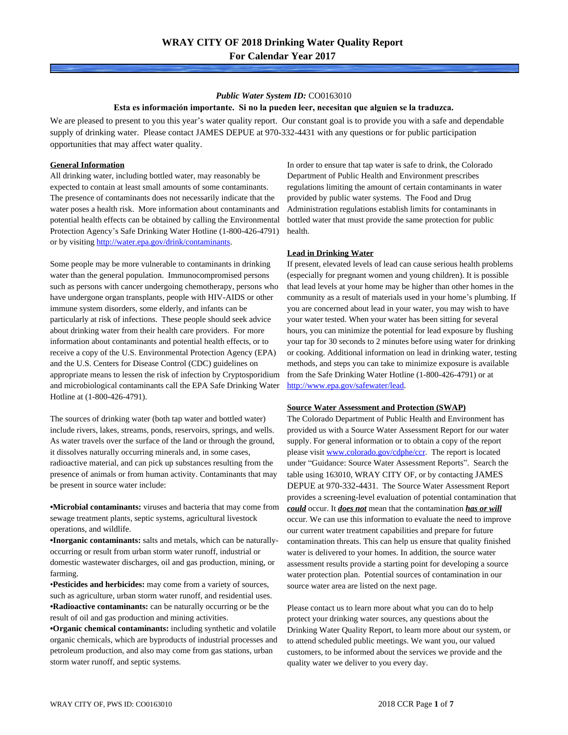# *Public Water System ID:* CO0163010 **Esta es información importante. Si no la pueden leer, necesitan que alguien se la traduzca.**

We are pleased to present to you this year's water quality report. Our constant goal is to provide you with a safe and dependable supply of drinking water. Please contact JAMES DEPUE at 970-332-4431 with any questions or for public participation opportunities that may affect water quality.

### **General Information**

All drinking water, including bottled water, may reasonably be expected to contain at least small amounts of some contaminants. The presence of contaminants does not necessarily indicate that the water poses a health risk. More information about contaminants and potential health effects can be obtained by calling the Environmental Protection Agency's Safe Drinking Water Hotline (1-800-426-4791) or by visiting <http://water.epa.gov/drink/contaminants>.

Some people may be more vulnerable to contaminants in drinking water than the general population. Immunocompromised persons such as persons with cancer undergoing chemotherapy, persons who have undergone organ transplants, people with HIV-AIDS or other immune system disorders, some elderly, and infants can be particularly at risk of infections. These people should seek advice about drinking water from their health care providers. For more information about contaminants and potential health effects, or to receive a copy of the U.S. Environmental Protection Agency (EPA) and the U.S. Centers for Disease Control (CDC) guidelines on appropriate means to lessen the risk of infection by Cryptosporidium and microbiological contaminants call the EPA Safe Drinking Water Hotline at (1-800-426-4791).

The sources of drinking water (both tap water and bottled water) include rivers, lakes, streams, ponds, reservoirs, springs, and wells. As water travels over the surface of the land or through the ground, it dissolves naturally occurring minerals and, in some cases, radioactive material, and can pick up substances resulting from the presence of animals or from human activity. Contaminants that may be present in source water include:

**•Microbial contaminants:** viruses and bacteria that may come from sewage treatment plants, septic systems, agricultural livestock operations, and wildlife.

**•Inorganic contaminants:** salts and metals, which can be naturallyoccurring or result from urban storm water runoff, industrial or domestic wastewater discharges, oil and gas production, mining, or farming.

•**Pesticides and herbicides:** may come from a variety of sources, such as agriculture, urban storm water runoff, and residential uses. **•Radioactive contaminants:** can be naturally occurring or be the result of oil and gas production and mining activities.

**•Organic chemical contaminants:** including synthetic and volatile organic chemicals, which are byproducts of industrial processes and petroleum production, and also may come from gas stations, urban storm water runoff, and septic systems.

In order to ensure that tap water is safe to drink, the Colorado Department of Public Health and Environment prescribes regulations limiting the amount of certain contaminants in water provided by public water systems. The Food and Drug Administration regulations establish limits for contaminants in bottled water that must provide the same protection for public health.

### **Lead in Drinking Water**

If present, elevated levels of lead can cause serious health problems (especially for pregnant women and young children). It is possible that lead levels at your home may be higher than other homes in the community as a result of materials used in your home's plumbing. If you are concerned about lead in your water, you may wish to have your water tested. When your water has been sitting for several hours, you can minimize the potential for lead exposure by flushing your tap for 30 seconds to 2 minutes before using water for drinking or cooking. Additional information on lead in drinking water, testing methods, and steps you can take to minimize exposure is available from the Safe Drinking Water Hotline (1-800-426-4791) or at [http://www.epa.gov/safewater/lead.](http://www.epa.gov/safewater/lead)

#### **Source Water Assessment and Protection (SWAP)**

The Colorado Department of Public Health and Environment has provided us with a Source Water Assessment Report for our water supply. For general information or to obtain a copy of the report please visit [www.colorado.gov/cdphe/ccr.](https://www.colorado.gov/cdphe/ccr) The report is located under "Guidance: Source Water Assessment Reports". Search the table using 163010, WRAY CITY OF, or by contacting JAMES DEPUE at 970-332-4431. The Source Water Assessment Report provides a screening-level evaluation of potential contamination that *could* occur. It *does not* mean that the contamination *has or will* occur. We can use this information to evaluate the need to improve our current water treatment capabilities and prepare for future contamination threats. This can help us ensure that quality finished water is delivered to your homes. In addition, the source water assessment results provide a starting point for developing a source water protection plan. Potential sources of contamination in our source water area are listed on the next page.

Please contact us to learn more about what you can do to help protect your drinking water sources, any questions about the Drinking Water Quality Report, to learn more about our system, or to attend scheduled public meetings. We want you, our valued customers, to be informed about the services we provide and the quality water we deliver to you every day.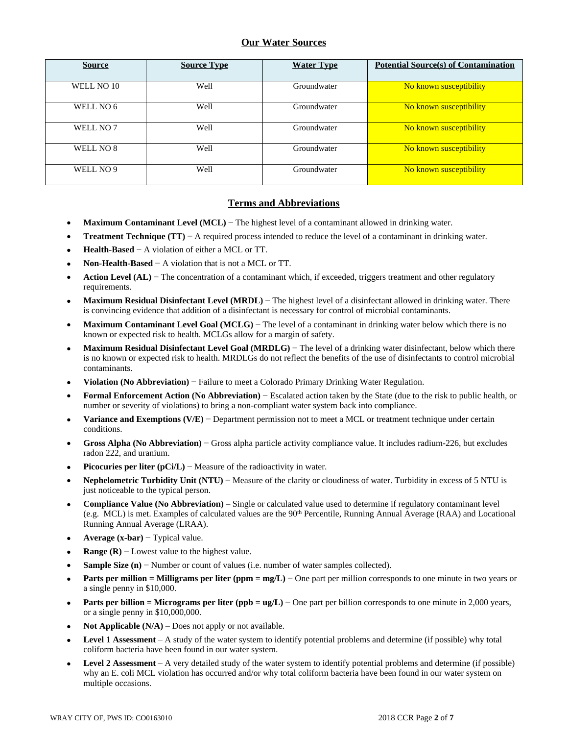# **Our Water Sources**

| <b>Source</b> | <b>Source Type</b> | <b>Water Type</b> | <b>Potential Source(s) of Contamination</b> |
|---------------|--------------------|-------------------|---------------------------------------------|
| WELL NO 10    | Well               | Groundwater       | No known susceptibility                     |
| WELL NO 6     | Well               | Groundwater       | No known susceptibility                     |
| WELL NO 7     | Well               | Groundwater       | No known susceptibility                     |
| WELL NO 8     | Well               | Groundwater       | No known susceptibility                     |
| WELL NO 9     | Well               | Groundwater       | No known susceptibility                     |

# **Terms and Abbreviations**

- **Maximum Contaminant Level (MCL)** − The highest level of a contaminant allowed in drinking water.
- **Treatment Technique (TT)** − A required process intended to reduce the level of a contaminant in drinking water.
- **Health-Based** − A violation of either a MCL or TT.
- **Non-Health-Based** − A violation that is not a MCL or TT.
- **Action Level (AL)** − The concentration of a contaminant which, if exceeded, triggers treatment and other regulatory requirements.
- **Maximum Residual Disinfectant Level (MRDL)** − The highest level of a disinfectant allowed in drinking water. There is convincing evidence that addition of a disinfectant is necessary for control of microbial contaminants.
- **Maximum Contaminant Level Goal (MCLG)** − The level of a contaminant in drinking water below which there is no known or expected risk to health. MCLGs allow for a margin of safety.
- **Maximum Residual Disinfectant Level Goal (MRDLG)** − The level of a drinking water disinfectant, below which there is no known or expected risk to health. MRDLGs do not reflect the benefits of the use of disinfectants to control microbial contaminants.
- **Violation (No Abbreviation)** − Failure to meet a Colorado Primary Drinking Water Regulation.
- **Formal Enforcement Action (No Abbreviation)** − Escalated action taken by the State (due to the risk to public health, or number or severity of violations) to bring a non-compliant water system back into compliance.
- **Variance and Exemptions (V/E)** − Department permission not to meet a MCL or treatment technique under certain conditions.
- **Gross Alpha (No Abbreviation)** − Gross alpha particle activity compliance value. It includes radium-226, but excludes radon 222, and uranium.
- **Picocuries per liter (pCi/L)** − Measure of the radioactivity in water.
- **Nephelometric Turbidity Unit (NTU)** − Measure of the clarity or cloudiness of water. Turbidity in excess of 5 NTU is just noticeable to the typical person.
- **Compliance Value (No Abbreviation)** Single or calculated value used to determine if regulatory contaminant level (e.g. MCL) is met. Examples of calculated values are the 90th Percentile, Running Annual Average (RAA) and Locational Running Annual Average (LRAA).
- **Average (x-bar)** − Typical value.
- **Range (R)** − Lowest value to the highest value.
- **Sample Size (n)** − Number or count of values (i.e. number of water samples collected).
- **Parts per million = Milligrams per liter (ppm = mg/L)** − One part per million corresponds to one minute in two years or a single penny in \$10,000.
- **Parts per billion = Micrograms per liter (ppb = ug/L)** − One part per billion corresponds to one minute in 2,000 years, or a single penny in \$10,000,000.
- **Not Applicable (N/A)** Does not apply or not available.
- **Level 1 Assessment** A study of the water system to identify potential problems and determine (if possible) why total coliform bacteria have been found in our water system.
- **Level 2 Assessment** A very detailed study of the water system to identify potential problems and determine (if possible) why an E. coli MCL violation has occurred and/or why total coliform bacteria have been found in our water system on multiple occasions.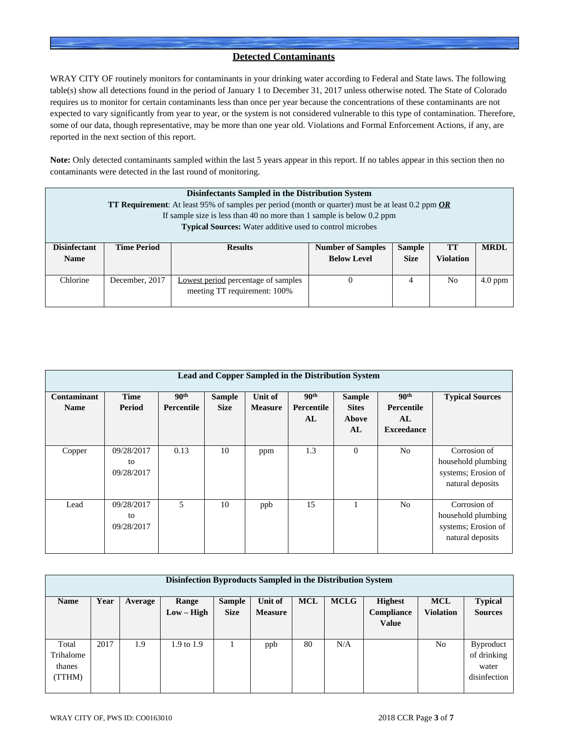# **Detected Contaminants**

WRAY CITY OF routinely monitors for contaminants in your drinking water according to Federal and State laws. The following table(s) show all detections found in the period of January 1 to December 31, 2017 unless otherwise noted. The State of Colorado requires us to monitor for certain contaminants less than once per year because the concentrations of these contaminants are not expected to vary significantly from year to year, or the system is not considered vulnerable to this type of contamination. Therefore, some of our data, though representative, may be more than one year old. Violations and Formal Enforcement Actions, if any, are reported in the next section of this report.

**Note:** Only detected contaminants sampled within the last 5 years appear in this report. If no tables appear in this section then no contaminants were detected in the last round of monitoring.

|                                    | <b>Disinfectants Sampled in the Distribution System</b><br><b>TT Requirement:</b> At least 95% of samples per period (month or quarter) must be at least 0.2 ppm $OR$<br>If sample size is less than 40 no more than 1 sample is below $0.2$ ppm<br><b>Typical Sources:</b> Water additive used to control microbes |                                                                            |                                                                                                                         |                |                |           |  |  |  |
|------------------------------------|---------------------------------------------------------------------------------------------------------------------------------------------------------------------------------------------------------------------------------------------------------------------------------------------------------------------|----------------------------------------------------------------------------|-------------------------------------------------------------------------------------------------------------------------|----------------|----------------|-----------|--|--|--|
| <b>Disinfectant</b><br><b>Name</b> | <b>Time Period</b>                                                                                                                                                                                                                                                                                                  | <b>Results</b>                                                             | <b>MRDL</b><br><b>Number of Samples</b><br><b>Sample</b><br>TТ<br><b>Below Level</b><br><b>Violation</b><br><b>Size</b> |                |                |           |  |  |  |
| Chlorine                           | December, 2017                                                                                                                                                                                                                                                                                                      | <b>Lowest period percentage of samples</b><br>meeting TT requirement: 100% | $\theta$                                                                                                                | $\overline{4}$ | N <sub>0</sub> | $4.0$ ppm |  |  |  |

|                            | Lead and Copper Sampled in the Distribution System |                                |                              |                           |                                      |                                              |                                                            |                                                                               |  |  |  |
|----------------------------|----------------------------------------------------|--------------------------------|------------------------------|---------------------------|--------------------------------------|----------------------------------------------|------------------------------------------------------------|-------------------------------------------------------------------------------|--|--|--|
| Contaminant<br><b>Name</b> | <b>Time</b><br>Period                              | 90 <sup>th</sup><br>Percentile | <b>Sample</b><br><b>Size</b> | Unit of<br><b>Measure</b> | 90 <sup>th</sup><br>Percentile<br>AL | <b>Sample</b><br><b>Sites</b><br>Above<br>AL | 90 <sup>th</sup><br>Percentile<br>AL.<br><b>Exceedance</b> | <b>Typical Sources</b>                                                        |  |  |  |
| Copper                     | 09/28/2017<br>to<br>09/28/2017                     | 0.13                           | 10                           | ppm                       | 1.3                                  | $\theta$                                     | N <sub>0</sub>                                             | Corrosion of<br>household plumbing<br>systems; Erosion of<br>natural deposits |  |  |  |
| Lead                       | 09/28/2017<br>to<br>09/28/2017                     | 5                              | 10                           | ppb                       | 15                                   |                                              | N <sub>o</sub>                                             | Corrosion of<br>household plumbing<br>systems; Erosion of<br>natural deposits |  |  |  |

| Disinfection Byproducts Sampled in the Distribution System |      |         |                |               |                |            |             |                |                  |                  |  |
|------------------------------------------------------------|------|---------|----------------|---------------|----------------|------------|-------------|----------------|------------------|------------------|--|
| <b>Name</b>                                                | Year | Average | Range          | <b>Sample</b> | Unit of        | <b>MCL</b> | <b>MCLG</b> | <b>Highest</b> | <b>MCL</b>       | <b>Typical</b>   |  |
|                                                            |      |         | $Low - High$   | <b>Size</b>   | <b>Measure</b> |            |             | Compliance     | <b>Violation</b> | <b>Sources</b>   |  |
|                                                            |      |         |                |               |                |            |             | <b>Value</b>   |                  |                  |  |
|                                                            |      |         |                |               |                |            |             |                |                  |                  |  |
| Total                                                      | 2017 | 1.9     | $1.9$ to $1.9$ |               | ppb            | 80         | N/A         |                | N <sub>o</sub>   | <b>Byproduct</b> |  |
| Trihalome                                                  |      |         |                |               |                |            |             |                |                  | of drinking      |  |
| thanes                                                     |      |         |                |               |                |            |             |                |                  | water            |  |
| (TTHM)                                                     |      |         |                |               |                |            |             |                |                  | disinfection     |  |
|                                                            |      |         |                |               |                |            |             |                |                  |                  |  |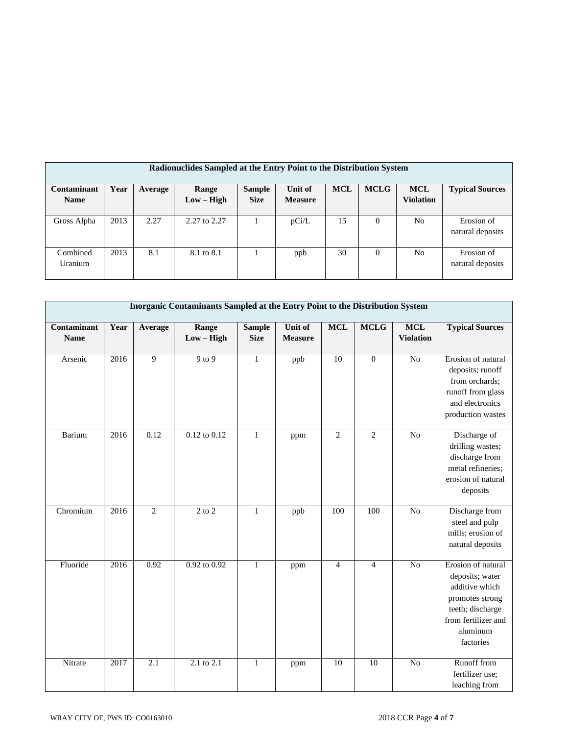| Radionuclides Sampled at the Entry Point to the Distribution System |      |         |              |               |                |            |             |                  |                        |  |  |
|---------------------------------------------------------------------|------|---------|--------------|---------------|----------------|------------|-------------|------------------|------------------------|--|--|
| Contaminant                                                         | Year | Average | Range        | <b>Sample</b> | Unit of        | <b>MCL</b> | <b>MCLG</b> | <b>MCL</b>       | <b>Typical Sources</b> |  |  |
| <b>Name</b>                                                         |      |         | $Low - High$ | <b>Size</b>   | <b>Measure</b> |            |             | <b>Violation</b> |                        |  |  |
|                                                                     |      |         |              |               |                |            |             |                  |                        |  |  |
| Gross Alpha                                                         | 2013 | 2.27    | 2.27 to 2.27 |               | pCi/L          | 15         | $\Omega$    | No               | Erosion of             |  |  |
|                                                                     |      |         |              |               |                |            |             |                  | natural deposits       |  |  |
|                                                                     |      |         |              |               |                |            |             |                  |                        |  |  |
| Combined                                                            | 2013 | 8.1     | 8.1 to 8.1   |               | ppb            | 30         | $\Omega$    | No               | Erosion of             |  |  |
| Uranium                                                             |      |         |              |               |                |            |             |                  | natural deposits       |  |  |
|                                                                     |      |         |              |               |                |            |             |                  |                        |  |  |

|                            | Inorganic Contaminants Sampled at the Entry Point to the Distribution System |                  |                                  |                              |                           |                |                 |                                |                                                                                                                                                |  |  |  |
|----------------------------|------------------------------------------------------------------------------|------------------|----------------------------------|------------------------------|---------------------------|----------------|-----------------|--------------------------------|------------------------------------------------------------------------------------------------------------------------------------------------|--|--|--|
| Contaminant<br><b>Name</b> | Year                                                                         | Average          | Range<br>$Low - High$            | <b>Sample</b><br><b>Size</b> | Unit of<br><b>Measure</b> | <b>MCL</b>     | <b>MCLG</b>     | <b>MCL</b><br><b>Violation</b> | <b>Typical Sources</b>                                                                                                                         |  |  |  |
| Arsenic                    | 2016                                                                         | 9                | $9$ to $9$                       | $\mathbf{1}$                 | ppb                       | 10             | $\overline{0}$  | $\overline{N}$                 | Erosion of natural<br>deposits; runoff<br>from orchards;<br>runoff from glass<br>and electronics<br>production wastes                          |  |  |  |
| <b>Barium</b>              | 2016                                                                         | 0.12             | $0.12 \text{ to } 0.12$          | $\mathbf{1}$                 | ppm                       | $\overline{2}$ | $\overline{2}$  | $\overline{No}$                | Discharge of<br>drilling wastes;<br>discharge from<br>metal refineries;<br>erosion of natural<br>deposits                                      |  |  |  |
| Chromium                   | 2016                                                                         | $\overline{2}$   | $\overline{2}$ to $\overline{2}$ | $\mathbf{1}$                 | ppb                       | 100            | 100             | N <sub>o</sub>                 | Discharge from<br>steel and pulp<br>mills; erosion of<br>natural deposits                                                                      |  |  |  |
| Fluoride                   | 2016                                                                         | 0.92             | 0.92 to 0.92                     | $\mathbf{1}$                 | ppm                       | $\overline{4}$ | $\overline{4}$  | N <sub>o</sub>                 | Erosion of natural<br>deposits; water<br>additive which<br>promotes strong<br>teeth; discharge<br>from fertilizer and<br>aluminum<br>factories |  |  |  |
| Nitrate                    | 2017                                                                         | $\overline{2.1}$ | $2.1 \text{ to } 2.1$            | $\mathbf{1}$                 | ppm                       | 10             | $\overline{10}$ | $\overline{No}$                | Runoff from<br>fertilizer use;<br>leaching from                                                                                                |  |  |  |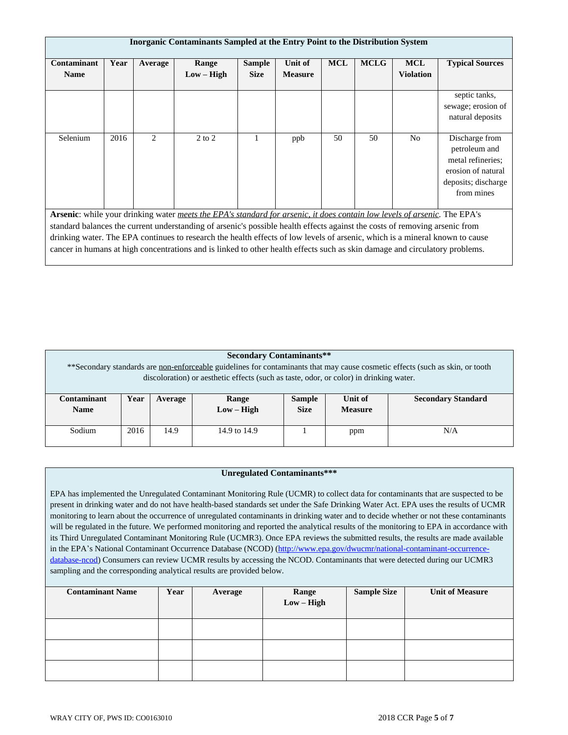| Inorganic Contaminants Sampled at the Entry Point to the Distribution System |                                                                                                                                                                                                                                                                                                                                                                                                                                                                                                                         |                |                       |                              |                           |            |             |                                |                                                                                                                 |  |
|------------------------------------------------------------------------------|-------------------------------------------------------------------------------------------------------------------------------------------------------------------------------------------------------------------------------------------------------------------------------------------------------------------------------------------------------------------------------------------------------------------------------------------------------------------------------------------------------------------------|----------------|-----------------------|------------------------------|---------------------------|------------|-------------|--------------------------------|-----------------------------------------------------------------------------------------------------------------|--|
| Contaminant<br><b>Name</b>                                                   | Year                                                                                                                                                                                                                                                                                                                                                                                                                                                                                                                    | Average        | Range<br>$Low - High$ | <b>Sample</b><br><b>Size</b> | Unit of<br><b>Measure</b> | <b>MCL</b> | <b>MCLG</b> | <b>MCL</b><br><b>Violation</b> | <b>Typical Sources</b>                                                                                          |  |
|                                                                              |                                                                                                                                                                                                                                                                                                                                                                                                                                                                                                                         |                |                       |                              |                           |            |             |                                | septic tanks,<br>sewage; erosion of<br>natural deposits                                                         |  |
| Selenium                                                                     | 2016                                                                                                                                                                                                                                                                                                                                                                                                                                                                                                                    | $\overline{2}$ | $2$ to $2$            |                              | ppb                       | 50         | 50          | No                             | Discharge from<br>petroleum and<br>metal refineries;<br>erosion of natural<br>deposits; discharge<br>from mines |  |
|                                                                              | Arsenic: while your drinking water meets the EPA's standard for arsenic, it does contain low levels of arsenic. The EPA's<br>standard balances the current understanding of arsenic's possible health effects against the costs of removing arsenic from<br>drinking water. The EPA continues to research the health effects of low levels of arsenic, which is a mineral known to cause<br>cancer in humans at high concentrations and is linked to other health effects such as skin damage and circulatory problems. |                |                       |                              |                           |            |             |                                |                                                                                                                 |  |

| <b>Secondary Contaminants**</b><br>**Secondary standards are <u>non-enforceable</u> guidelines for contaminants that may cause cosmetic effects (such as skin, or tooth<br>discoloration) or aesthetic effects (such as taste, odor, or color) in drinking water. |                                                                                                                                    |      |              |  |     |     |  |  |
|-------------------------------------------------------------------------------------------------------------------------------------------------------------------------------------------------------------------------------------------------------------------|------------------------------------------------------------------------------------------------------------------------------------|------|--------------|--|-----|-----|--|--|
| <b>Contaminant</b><br><b>Name</b>                                                                                                                                                                                                                                 | Year<br>Unit of<br><b>Secondary Standard</b><br><b>Sample</b><br>Range<br>Average<br>$Low - High$<br><b>Size</b><br><b>Measure</b> |      |              |  |     |     |  |  |
| Sodium                                                                                                                                                                                                                                                            | 2016                                                                                                                               | 14.9 | 14.9 to 14.9 |  | ppm | N/A |  |  |

## **Unregulated Contaminants\*\*\***

EPA has implemented the Unregulated Contaminant Monitoring Rule (UCMR) to collect data for contaminants that are suspected to be present in drinking water and do not have health-based standards set under the Safe Drinking Water Act. EPA uses the results of UCMR monitoring to learn about the occurrence of unregulated contaminants in drinking water and to decide whether or not these contaminants will be regulated in the future. We performed monitoring and reported the analytical results of the monitoring to EPA in accordance with its Third Unregulated Contaminant Monitoring Rule (UCMR3). Once EPA reviews the submitted results, the results are made available in the EPA's National Contaminant Occurrence Database (NCOD) ([http://www.epa.gov/dwucmr/national-contaminant-occurrence](http://www.epa.gov/dwucmr/national-contaminant-occurrence-database-ncod)database-ncod) Consumers can review UCMR results by accessing the NCOD. Contaminants that were detected during our UCMR3 sampling and the corresponding analytical results are provided below.

| <b>Contaminant Name</b> | Year | Average | Range<br>$Low - High$ | <b>Sample Size</b> | <b>Unit of Measure</b> |
|-------------------------|------|---------|-----------------------|--------------------|------------------------|
|                         |      |         |                       |                    |                        |
|                         |      |         |                       |                    |                        |
|                         |      |         |                       |                    |                        |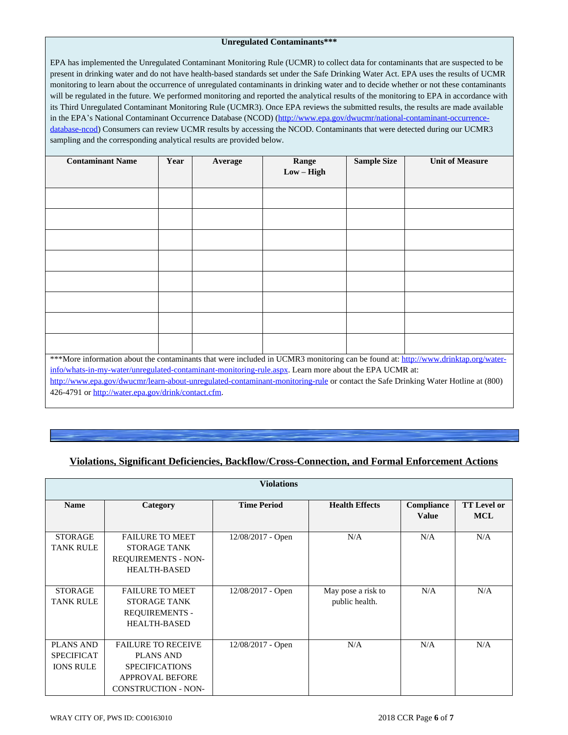### **Unregulated Contaminants\*\*\***

EPA has implemented the Unregulated Contaminant Monitoring Rule (UCMR) to collect data for contaminants that are suspected to be present in drinking water and do not have health-based standards set under the Safe Drinking Water Act. EPA uses the results of UCMR monitoring to learn about the occurrence of unregulated contaminants in drinking water and to decide whether or not these contaminants will be regulated in the future. We performed monitoring and reported the analytical results of the monitoring to EPA in accordance with its Third Unregulated Contaminant Monitoring Rule (UCMR3). Once EPA reviews the submitted results, the results are made available in the EPA's National Contaminant Occurrence Database (NCOD) ([http://www.epa.gov/dwucmr/national-contaminant-occurrence](http://www.epa.gov/dwucmr/national-contaminant-occurrence-database-ncod)database-ncod) Consumers can review UCMR results by accessing the NCOD. Contaminants that were detected during our UCMR3 sampling and the corresponding analytical results are provided below.

| <b>Contaminant Name</b>                                                                                                           | Year | Average | Range        | <b>Sample Size</b> | <b>Unit of Measure</b> |  |  |  |  |
|-----------------------------------------------------------------------------------------------------------------------------------|------|---------|--------------|--------------------|------------------------|--|--|--|--|
|                                                                                                                                   |      |         | $Low - High$ |                    |                        |  |  |  |  |
|                                                                                                                                   |      |         |              |                    |                        |  |  |  |  |
|                                                                                                                                   |      |         |              |                    |                        |  |  |  |  |
|                                                                                                                                   |      |         |              |                    |                        |  |  |  |  |
|                                                                                                                                   |      |         |              |                    |                        |  |  |  |  |
|                                                                                                                                   |      |         |              |                    |                        |  |  |  |  |
|                                                                                                                                   |      |         |              |                    |                        |  |  |  |  |
|                                                                                                                                   |      |         |              |                    |                        |  |  |  |  |
|                                                                                                                                   |      |         |              |                    |                        |  |  |  |  |
| ***More information about the contaminants that were included in UCMR3 monitoring can be found at: http://www.drinktap.org/water- |      |         |              |                    |                        |  |  |  |  |
| info/whats-in-my-water/unregulated-contaminant-monitoring-rule.aspx. Learn more about the EPA UCMR at:                            |      |         |              |                    |                        |  |  |  |  |
| http://www.epa.gov/dwucmr/learn-about-unregulated-contaminant-monitoring-rule or contact the Safe Drinking Water Hotline at (800) |      |         |              |                    |                        |  |  |  |  |
| 426-4791 or http://water.epa.gov/drink/contact.cfm.                                                                               |      |         |              |                    |                        |  |  |  |  |

# **Violations, Significant Deficiencies, Backflow/Cross-Connection, and Formal Enforcement Actions**

|                                                           | <b>Violations</b>                                                                                                              |                     |                                      |                            |                                  |  |  |  |  |  |  |  |
|-----------------------------------------------------------|--------------------------------------------------------------------------------------------------------------------------------|---------------------|--------------------------------------|----------------------------|----------------------------------|--|--|--|--|--|--|--|
| <b>Name</b>                                               | Category                                                                                                                       | <b>Time Period</b>  | <b>Health Effects</b>                | Compliance<br><b>Value</b> | <b>TT Level or</b><br><b>MCL</b> |  |  |  |  |  |  |  |
| <b>STORAGE</b><br><b>TANK RULE</b>                        | <b>FAILURE TO MEET</b><br>STORAGE TANK<br><b>REQUIREMENTS - NON-</b><br><b>HEALTH-BASED</b>                                    | $12/08/2017$ - Open | N/A                                  | N/A                        | N/A                              |  |  |  |  |  |  |  |
| <b>STORAGE</b><br><b>TANK RULE</b>                        | <b>FAILURE TO MEET</b><br><b>STORAGE TANK</b><br><b>REQUIREMENTS -</b><br><b>HEALTH-BASED</b>                                  | 12/08/2017 - Open   | May pose a risk to<br>public health. | N/A                        | N/A                              |  |  |  |  |  |  |  |
| <b>PLANS AND</b><br><b>SPECIFICAT</b><br><b>IONS RULE</b> | <b>FAILURE TO RECEIVE</b><br><b>PLANS AND</b><br><b>SPECIFICATIONS</b><br><b>APPROVAL BEFORE</b><br><b>CONSTRUCTION - NON-</b> | $12/08/2017$ - Open | N/A                                  | N/A                        | N/A                              |  |  |  |  |  |  |  |